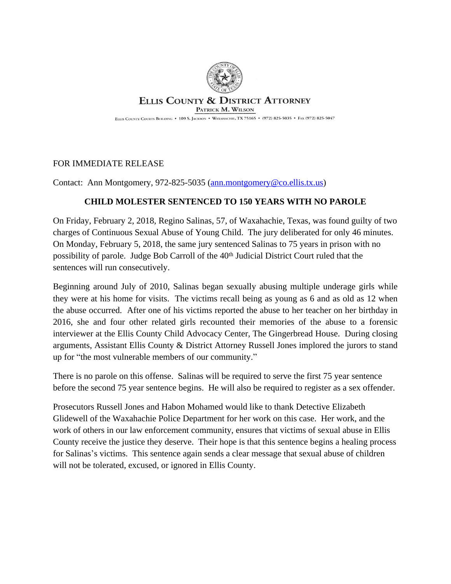

## **ELLIS COUNTY & DISTRICT ATTORNEY** PATRICK M. WILSON

ELLIS COUNTY COURTS BUILDING • 109 S. JACKSON • WAXAHACHIE, TX 75165 • (972) 825-5035 • FAX (972) 825-5047

## FOR IMMEDIATE RELEASE

Contact: Ann Montgomery, 972-825-5035 ([ann.montgomery@co.ellis.tx.us](mailto:ann.montgomery@co.ellis.tx.us))

## **CHILD MOLESTER SENTENCED TO 150 YEARS WITH NO PAROLE**

On Friday, February 2, 2018, Regino Salinas, 57, of Waxahachie, Texas, was found guilty of two charges of Continuous Sexual Abuse of Young Child. The jury deliberated for only 46 minutes. On Monday, February 5, 2018, the same jury sentenced Salinas to 75 years in prison with no possibility of parole. Judge Bob Carroll of the 40<sup>th</sup> Judicial District Court ruled that the sentences will run consecutively.

Beginning around July of 2010, Salinas began sexually abusing multiple underage girls while they were at his home for visits. The victims recall being as young as 6 and as old as 12 when the abuse occurred. After one of his victims reported the abuse to her teacher on her birthday in 2016, she and four other related girls recounted their memories of the abuse to a forensic interviewer at the Ellis County Child Advocacy Center, The Gingerbread House. During closing arguments, Assistant Ellis County & District Attorney Russell Jones implored the jurors to stand up for "the most vulnerable members of our community."

There is no parole on this offense. Salinas will be required to serve the first 75 year sentence before the second 75 year sentence begins. He will also be required to register as a sex offender.

Prosecutors Russell Jones and Habon Mohamed would like to thank Detective Elizabeth Glidewell of the Waxahachie Police Department for her work on this case. Her work, and the work of others in our law enforcement community, ensures that victims of sexual abuse in Ellis County receive the justice they deserve. Their hope is that this sentence begins a healing process for Salinas's victims. This sentence again sends a clear message that sexual abuse of children will not be tolerated, excused, or ignored in Ellis County.